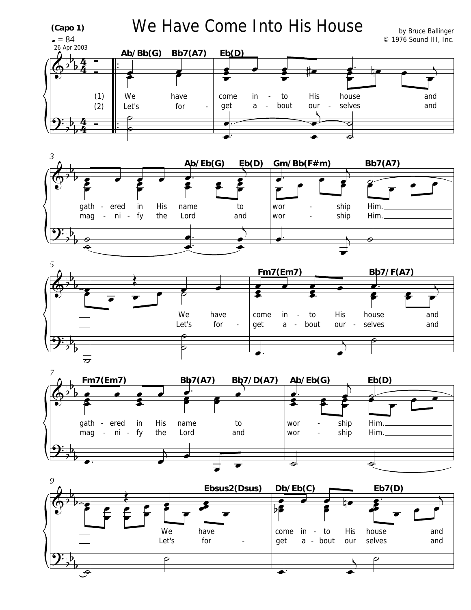